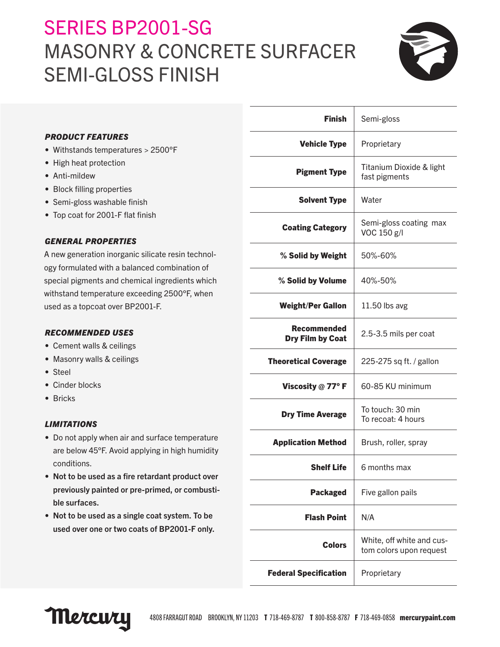# SERIES BP2001-SG MASONRY & CONCRETE SURFACER SEMI-GLOSS FINISH



# *PRODUCT FEATURES*

- Withstands temperatures > 2500°F
- High heat protection
- Anti-mildew
- Block filling properties
- Semi-gloss washable finish
- Top coat for 2001-F flat finish

## *GENERAL PROPERTIES*

A new generation inorganic silicate resin technology formulated with a balanced combination of special pigments and chemical ingredients which withstand temperature exceeding 2500°F, when used as a topcoat over BP2001-F.

# *RECOMMENDED USES*

- Cement walls & ceilings
- Masonry walls & ceilings
- Steel
- Cinder blocks
- Bricks

#### *LIMITATIONS*

- Do not apply when air and surface temperature are below 45°F. Avoid applying in high humidity conditions.
- Not to be used as a fire retardant product over previously painted or pre-primed, or combustible surfaces.
- Not to be used as a single coat system. To be used over one or two coats of BP2001-F only.

| <b>Finish</b>                          | Semi-gloss                                           |
|----------------------------------------|------------------------------------------------------|
| <b>Vehicle Type</b>                    | Proprietary                                          |
| <b>Pigment Type</b>                    | Titanium Dioxide & light<br>fast pigments            |
| <b>Solvent Type</b>                    | Water                                                |
| <b>Coating Category</b>                | Semi-gloss coating max<br>VOC 150 g/l                |
| % Solid by Weight                      | 50%-60%                                              |
| % Solid by Volume                      | 40%-50%                                              |
| <b>Weight/Per Gallon</b>               | 11.50 lbs avg                                        |
| <b>Recommended</b><br>Dry Film by Coat | 2.5-3.5 mils per coat                                |
| <b>Theoretical Coverage</b>            | 225-275 sq ft. / gallon                              |
| Viscosity $@$ 77° F                    | 60-85 KU minimum                                     |
| <b>Dry Time Average</b>                | To touch: 30 min<br>To recoat: 4 hours               |
| <b>Application Method</b>              | Brush, roller, spray                                 |
| Shelf Life                             | 6 months max                                         |
| <b>Packaged</b>                        | Five gallon pails                                    |
| Flash Point                            | N/A                                                  |
| <b>Colors</b>                          | White, off white and cus-<br>tom colors upon request |
| <b>Federal Specification</b>           | Proprietary                                          |